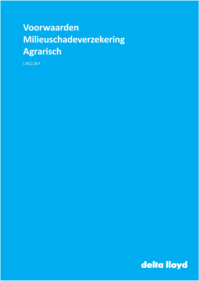# Voorwaarden Milieuschadeverzekering **Agrarisch**

 $L$  03.2.26 F

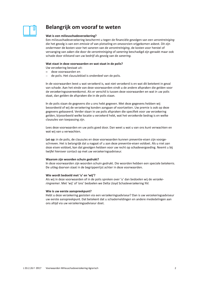## Belangrijk om vooraf te weten

#### Wat is een milieuschadeverzekering?

Een milieuschadeverzekering beschermt u tegen de financiële gevolgen van een verontreiniging die het gevolg is van een emissie of van plotseling en onvoorzien vrijgekomen asbest. Dit zijn ondermeer de kosten voor het saneren van de verontreiniging, de kosten voor herstel of vervanging van zaken die door de verontreiniging of sanering beschadigd zijn geraakt maar ook schade door stilstand van uw bedrijf als gevolg van de sanering.

#### Wat staat in deze voorwaarden en wat staat in de polis?

Uw verzekering bestaat uit:

- deze voorwaarden en
- $\overline{a}$ de polis. Het clausuleblad is onderdeel van de polis.

In de voorwaarden leest u wat verzekerd is, wat niet verzekerd is en wat dit betekent in geval van schade. Aan het einde van deze voorwaarden vindt u de andere afspraken die gelden voor de verzekeringsovereenkomst. Als er verschil is tussen deze voorwaarden en wat in uw polis staat, dan gelden de afspraken die in de polis staan.

In de polis staan de gegevens die u ons hebt gegeven. Met deze gegevens hebben wij beoordeeld of wij de verzekering konden aangaan of voortzetten. Uw premie is ook op deze gegevens gebaseerd. Verder staan in uw polis afspraken die specifiek voor uw verzekering gelden, bijvoorbeeld welke locatie u verzekerd hebt, wat het verzekerde bedrag is en welke clausules van toepassing zijn.

Lees deze voorwaarden en uw polis goed door. Dan weet u wat u van ons kunt verwachten en wat wij van u verwachten.

Let op: in de polis, de clausules en deze voorwaarden kunnen preventie-eisen zijn voorgeschreven. Het is belangrijk dat u nagaat of u aan deze preventie-eisen voldoet. Als u niet aan deze eisen voldoet, kan dat gevolgen hebben voor uw recht op schadevergoeding. Neemt u bij twijfel hierover contact op met uw verzekeringsadviseur.

#### Waarom zijn woorden schuin gedrukt?

In deze voorwaarden zijn woorden schuin gedrukt. Die woorden hebben een speciale betekenis. De uitleg daarvan staat in de begrippenlijst achter in deze voorwaarden.

#### Wie wordt bedoeld met 'u' en 'wij'?

Als wij in deze voorwaarden of in de polis spreken over 'u' dan bedoelen wij de verzekeringnemer. Met 'wij' of 'ons' bedoelen we Delta Lloyd Schadeverzekering NV.

#### Wie is uw eerste aanspreekpunt?

Hebt u deze verzekering gesloten via een verzekeringsadviseur? Dan is uw verzekeringsadviseur uw eerste aanspreekpunt. Dat betekent dat u schademeldingen en andere mededelingen aan ons altijd via uw verzekeringsadviseur doet.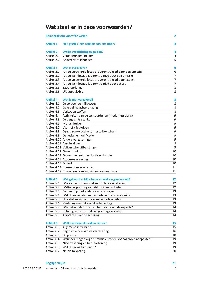## Wat staat er in deze voorwaarden?

| Belangrijk om vooraf te weten<br>2 |                                                             |                |  |
|------------------------------------|-------------------------------------------------------------|----------------|--|
| <b>Artikel 1</b>                   | Hoe geeft u een schade aan ons door?                        | 4              |  |
| <b>Artikel 2</b>                   | Welke verplichtingen gelden?                                | 4              |  |
| Artikel 2.1                        | Veranderingen melden                                        | $\overline{4}$ |  |
| Artikel 2.2                        | Andere verplichtingen                                       | 5              |  |
|                                    |                                                             |                |  |
| <b>Artikel 3</b>                   | Wat is verzekerd?                                           | 6              |  |
| Artikel 3.1                        | Als de verzekerde locatie is verontreinigd door een emissie | 6              |  |
| Artikel 3.2                        | Als de werklocatie is verontreinigd door een emissie        |                |  |
| Artikel 3.3                        | Als de verzekerde locatie is verontreinigd door asbest      |                |  |
| Artikel 3.4                        | Als de werklocatie is verontreinigd door asbest             |                |  |
| Artikel 3.5                        | Extra dekkingen                                             |                |  |
| Artikel 3.6                        | Uitloopdekking                                              |                |  |
|                                    |                                                             |                |  |
| <b>Artikel 4</b>                   | Wat is niet verzekerd?                                      | 8              |  |
| Artikel 4.1                        | Onvoldoende milieuzorg                                      | 8              |  |
| Artikel 4.2                        | Geleidelijke achteruitgang                                  | 8              |  |
| Artikel 4.3                        | Verboden stoffen                                            | 8              |  |
| Artikel 4.4                        | Activiteiten van de verhuurder en (mede)huurder(s)          | $\overline{9}$ |  |
| Artikel 4.5                        | Ondergrondse tanks                                          | 9              |  |
| Artikel 4.6                        | Motorrijtuigen                                              | 9              |  |
| Artikel 4.7                        | Vaar- of vliegtuigen                                        | $\overline{9}$ |  |
| Artikel 4.8                        |                                                             | 9              |  |
|                                    | Opzet, roekeloosheid, merkelijke schuld                     |                |  |
| Artikel 4.9                        | Genetische modificatie                                      | 9              |  |
|                                    | Artikel 4.10 Andere verzekeringen                           | $\overline{9}$ |  |
|                                    | Artikel 4.11 Aardbevingen                                   | $\overline{9}$ |  |
|                                    | Artikel 4.12 Vulkanische uitbarstingen                      | $\overline{9}$ |  |
|                                    | Artikel 4.13 Overstroming                                   | 10             |  |
|                                    | Artikel 4.14 Onwettige teelt, productie en handel           | 10             |  |
|                                    | Artikel 4.15 Atoomkernreacties                              | 10             |  |
| Artikel 4.16 Molest                |                                                             | 10             |  |
|                                    | Artikel 4.17 Internationale sancties                        | 11             |  |
|                                    | Artikel 4.18 Bijzondere regeling bij terrorismeschade       | 11             |  |
|                                    |                                                             |                |  |
| <b>Artikel 5</b>                   | Wat gebeurt er bij schade en wat vergoeden wij?             | 12             |  |
| Artikel 5.1                        | Wie kan aanspraak maken op deze verzekering?                | 12             |  |
| Artikel 5.2                        | Welke verplichtingen hebt u bij een schade?                 | 12             |  |
| Artikel 5.3                        | Samenloop met andere verzekeringen                          | 13             |  |
| Artikel 5.4                        | Wat doen wij als u een schade aan ons doorgeeft?            | 13             |  |
| Artikel 5.5                        | Hoe stellen wij vast hoeveel schade u hebt?                 | 13             |  |
| Artikel 5.6                        | Verdeling van het verzekerde bedrag                         | 13             |  |
| Artikel 5.7                        | Wie betaalt de kosten en het salaris van de experts?        | 14             |  |
| Artikel 5.8                        | Betaling van de schadevergoeding en kosten                  | 14             |  |
| Artikel 5.9                        | Afspraken over de sanering                                  | 14             |  |
|                                    |                                                             |                |  |
| <b>Artikel 6</b>                   | Welke andere afspraken zijn er?                             | 15             |  |
| Artikel 6.1                        | Algemene informatie                                         | 15             |  |
| Artikel 6.2                        | Begin en einde van de verzekering                           | 16             |  |
| Artikel 6.3                        | De premie                                                   | 18             |  |
| Artikel 6.4                        | Wanneer mogen wij de premie en/of de voorwaarden aanpassen? | 19             |  |
| Artikel 6.5                        | Naverrekening en herberekening                              | 19             |  |
| Artikel 6.6                        | Wat doen wij bij fraude?                                    | 19             |  |
| Artikel 6.7                        | No-claim korting                                            | 20             |  |
|                                    |                                                             |                |  |

**Begrippenlijst**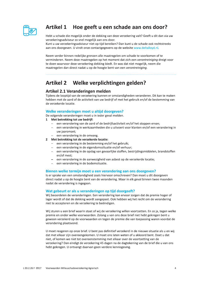

## Artikel 1 Hoe geeft u een schade aan ons door?

Hebt u schade die mogelijk onder de dekking van deze verzekering valt? Geeft u dit dan via uw verzekeringsadviseur zo snel mogelijk aan ons door.

Kunt u uw verzekeringsadviseur niet op tijd bereiken? Dan kunt u de schade ook rechtstreeks aan ons doorgeven. U vindt onze contactgegevens op de website www.deltalloyd.nl.

Neem verder binnen redelijke grenzen alle maatregelen om schade te voorkomen of te verminderen. Neem deze maatregelen op het moment dat zich een verontreiniging dreigt voor te doen waarvoor deze verzekering dekking biedt. En was dat niet mogelijk, neem die maatregelen dan direct nadat u op de hoogte bent van een verontreiniging.

#### Welke verplichtingen gelden? **Artikel 2**

## Artikel 2.1 Veranderingen melden

Tijdens de looptijd van de verzekering kunnen er omstandigheden veranderen. Dit kan te maken hebben met de aard of de activiteit van uw bedrijf of met het gebruik en/of de bestemming van de verzekerde locatie.

## Welke veranderingen moet u altijd doorgeven?

De volgende veranderingen moet u in ieder geval melden.

- 1 Met betrekking tot uw bedrijf:
	- een verandering van de aard of de bedrijfsactiviteit en/of het stoppen ervan;
	- een verandering in werkzaamheden die u uitvoert voor klanten en/of een verandering in  $\equiv$ uw jaaromzet;
	- een verandering in de omvang.
- 2 Met betrekking tot de verzekerde locatie:
	- een verandering in de bestemming en/of het gebruik;
	- een verandering in de eigendomssituatie en/of verhuur;
	- een verandering in de opslag van gevaarlijke stoffen, bestrijdingsmiddelen, brandstoffen  $\equiv$ en/of mest;
	- een verandering in de aanwezigheid van asbest op de verzekerde locatie;
	- een verandering in de bodemsituatie.

## Binnen welke termijn moet u een verandering aan ons doorgeven?

Is er sprake van een omstandigheid zoals hiervoor omschreven? Dan moet u dit doorgeven direct nadat u op de hoogte bent van de verandering. Maar in elk geval binnen twee maanden nadat de verandering is ingegaan.

## Wat gebeurt er als u veranderingen op tijd doorgeeft?

Wij beoordelen de veranderingen. Een verandering kan ervoor zorgen dat de premie hoger of lager wordt of dat de dekking wordt aangepast. Ook hebben wij het recht om de verandering niet te accepteren en de verzekering te beëindigen.

Wij sturen u een brief waarin staat of wij de verzekering willen voortzetten. En zo ja, tegen welke premie en onder welke voorwaarden. Zolang u van ons deze brief niet hebt gekregen bent u gewoon verzekerd op de voorwaarden en tegen de premie die van toepassing waren voordat de verandering plaatsvond.

U moet reageren op onze brief. U bent pas definitief verzekerd in de nieuwe situatie als u en wij dat met elkaar zijn overeengekomen. U moet ons laten weten of u akkoord bent. Doet u dat niet, of komen we niet tot overeenstemming met elkaar over de voortzetting van de verzekering? Dan eindigt de verzekering 45 dagen na de dagtekening van de brief die u van ons hebt gekregen. U ontvangt daarvan geen verdere kennisgeving.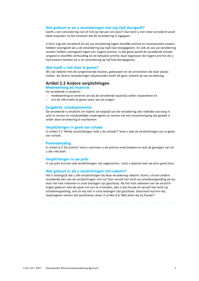#### Wat gebeurt er als u veranderingen niet (op tijd) doorgeeft?

Geeft u een verandering niet of niet op tijd aan ons door? Dan bent u niet meer verzekerd vanaf twee maanden na het moment dat de verandering is ingegaan.

U bent nog wel verzekerd als wij uw verzekering tegen dezelfde premie en voorwaarden zouden hebben voortgezet als u de verandering (op tijd) had doorgegeven. En ook als wij uw verzekering zouden hebben voortgezet tegen een hogere premie. In dat geval wordt de verzekerde schade vergoed in dezelfde verhouding als de betaalde premie staat tegenover de hogere premie die u had moeten betalen als u de verandering op tijd had doorgegeven.

#### Wat hoeft u niet door te geven?

Wij zijn bekend met de aangrenzende locaties, gebouwen en de activiteiten die daar plaatsvinden. Als daarin veranderingen plaatsvinden heeft dit geen invloed op uw verzekering.

## **Artikel 2.2 Andere verplichtingen**

**Medewerking bij inspectie** 

De verzekerde is verplicht:

- medewerking te verlenen als wij de verzekerde locatie(s) willen inspecteren en
- ons de informatie te geven waar wij om vragen.  $\equiv$

#### Zorgplicht, schadepreventie

De verzekerde is verplicht om tijdens de looptijd van de verzekering alle redelijke voorzorg in acht te nemen en noodzakelijke maatregelen te nemen om een verontreiniging die gedekt is onder deze verzekering te voorkomen.

#### Verplichtingen in geval van schade

In artikel 5.2 'Welke verplichtingen hebt u bij schade?' leest u wat de verplichtingen zijn in geval van schade.

#### **Premiebetaling**

In artikel 6.3 'De premie' leest u wanneer u de premie moet betalen en wat de gevolgen zijn als u dat niet doet.

#### Verplichtingen in uw polis

In uw polis kunnen ook verplichtingen zijn opgenomen. Leest u daarom ook uw polis goed door.

#### Wat gebeurt er als u verplichtingen niet nakomt?

Het is belangrijk dat u alle verplichtingen bij deze verzekering nakomt. Komt u of een andere verzekerde één van de verplichtingen niet na? Dan vervalt het recht op schadevergoeding als wij door het niet nakomen in onze belangen zijn geschaad. Als het niet nakomen van de verplichtingen gebeurt met de opzet om ons te misleiden, dan is dat fraude en vervalt het recht op schadevergoeding, ook als wij niet in onze belangen zijn geschaad. Daarnaast kunnen wij maatregelen nemen die beschreven staan in artikel 6.6 'Wat doen wij bij fraude?'.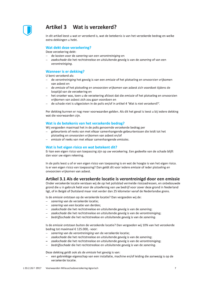

## Artikel 3 Wat is verzekerd?

In dit artikel leest u wat er verzekerd is, wat de betekenis is van het verzekerde bedrag en welke extra dekkingen u hebt.

#### Wat dekt deze verzekering?

Deze verzekering dekt:

- de kosten voor de sanering van een verontreiniging en
- zaakschade die het rechtstreekse en uitsluitende gevolg is van de sanering of van een verontreiniging.

### **Wanneer is er dekking?**

U bent verzekerd als:

- de verontreiniging het gevolg is van een emissie of het plotseling en onvoorzien vrijkomen van ashest en
- de emissie of het plotseling en onvoorzien vrijkomen van asbest zich voordoet tijdens de looptijd van de verzekering en
- het onzeker was, toen u de verzekering afsloot dat die emissie of het plotseling en onvoorzien vrijkomen van asbest zich zou gaan voordoen en
- de schade niet is uitgesloten in de polis en/of in artikel 4 'Wat is niet verzekerd?'.

Per dekking kunnen er nog meer voorwaarden gelden. Als dit het geval is leest u bij iedere dekking wat die voorwaarden zijn.

#### Wat is de betekenis van het verzekerde bedrag?

Wij vergoeden maximaal het in de polis genoemde verzekerde bedrag per

- gebeurtenis of reeks van met elkaar samenhangende gebeurtenissen die leidt tot het
- plotseling en onvoorzien vrijkomen van asbest en/of
- emissie of reeks van met elkaar samenhangende emissies.

#### Wat is het eigen risico en wat betekent dit?

Er kan een eigen risico van toepassing zijn op uw verzekering. Een gedeelte van de schade blijft dan voor uw eigen rekening.

In de polis leest u of er een eigen risico van toepassing is en wat de hoogte is van het eigen risico. Is er een eigen risico van toepassing? Dan geldt dit voor iedere emissie of ieder plotseling en onvoorzien vrijkomen van asbest.

## Artikel 3.1 Als de verzekerde locatie is verontreinigd door een emissie

Onder verzekerde locatie verstaan wij de op het polisblad vermelde risicoadressen, en onbebouwde grond die u in gebruik hebt voor de uitoefening van uw bedrijf voor zover deze grond in Nederland ligt, of in België of Duitsland maar niet verder dan 25 kilometer vanaf de Nederlandse grens.

Is de emissie ontstaan op de verzekerde locatie? Dan vergoeden wij de:

- sanering van de verzekerde locatie;
- sanering van een locatie van derden:
- zaakschade die het rechtstreekse en uitsluitende gevolg is van de sanering;
- zaakschade die het rechtstreekse en uitsluitende gevolg is van de verontreiniging;
- bedrijfsschade die het rechtstreekse en uitsluitende gevolg is van de sanering.

Is de emissie ontstaan buiten de verzekerde locatie? Dan vergoeden wij 10% van het verzekerde bedrag tot maximaal € 125.000,- voor:

- sanering van de verontreiniging van de verzekerde locatie;
- zaakschade die het rechtstreekse en uitsluitende gevolg is van de sanering;
- zaakschade die het rechtstreekse en uitsluitende gevolg is van de verontreiniging;
- $\equiv$ bedrijfsschade die het rechtstreekse en uitsluitende gevolg is van de sanering.

Deze dekking geldt ook als de emissie het gevolg is van:

een gebrekkige eigenschap van een installatie, machine en/of leiding die aanwezig is op de verzekerde locatie.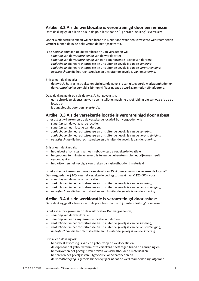## Artikel 3.2 Als de werklocatie is verontreinigd door een emissie

Deze dekking geldt alleen als u in de polis leest dat de 'Bij derden-dekking' is verzekerd.

Onder werklocatie verstaan wij een locatie in Nederland waar een verzekerde werkzaamheden verricht binnen de in de polis vermelde bedrijfsactiviteit.

Is de emissie ontstaan op de werklocatie? Dan vergoeden wij:

- sanering van de verontreiniging van de werklocatie;
- sanering van de verontreiniging van een aangrenzende locatie van derden;
- zaakschade die het rechtstreekse en uitsluitende gevolg is van de sanering;
- zaakschade die het rechtstreekse en uitsluitende gevolg is van de verontreiniging;
- bedrijfsschade die het rechtstreekse en uitsluitende gevolg is van de sanering.

Er is alleen dekking als:

- de emissie het rechtstreekse en uitsluitende gevolg is van uitgevoerde werkzaamheden en
- $\frac{1}{2}$ de verontreiniging gemeld is binnen vijf jaar nadat de werkzaamheden zijn afgerond.

Deze dekking geldt ook als de emissie het gevolg is van:

- een gebrekkige eigenschap van een installatie, machine en/of leiding die aanwezig is op de locatie en
- is aangebracht door een verzekerde.

## Artikel 3.3 Als de verzekerde locatie is verontreinigd door asbest

Is het asbest vrijgekomen op de verzekerde locatie? Dan vergoeden wij:

- sanering van de verzekerde locatie;
- sanerina van een locatie van derden:
- zaakschade die het rechtstreekse en uitsluitende gevolg is van de sanering;
- zaakschade die het rechtstreekse en uitsluitende gevolg is van de verontreiniging;
- bedrijfsschade die het rechtstreekse en uitsluitende gevolg is van de sanering.

Er is alleen dekking als:

- het asbest afkomstig is van een gebouw op de verzekerde locatie en
- het gebouw tenminste verzekerd is tegen de gebeurtenis die het vrijkomen heeft veroorzaakt en
- het vrijkomen het gevolg is van breken van asbesthoudend materiaal.

Is het asbest vrijgekomen binnen een straal van 25 kilometer vanaf de verzekerde locatie? Dan vergoeden wij 10% van het verzekerde bedrag tot maximaal € 125.000,- voor:

- sanering van de verzekerde locatie;
- zaakschade die het rechtstreekse en uitsluitende gevolg is van de sanering;
- zaakschade die het rechtstreekse en uitsluitende gevolg is van de verontreiniging;
- bedrijfsschade die het rechtstreekse en uitsluitende gevolg is van de sanering.

#### Artikel 3.4 Als de werklocatie is verontreinigd door asbest

Deze dekking geldt alleen als u in de polis leest dat de 'Bij derden-dekking' is verzekerd.

Is het asbest vrijgekomen op de werklocatie? Dan vergoeden wij:

- sanering van de werklocatie;
- sanering van een aangrenzende locatie van derden;
- zaakschade die het rechtstreekse en uitsluitende gevolg is van de sanering;
- zaakschade die het rechtstreekse en uitsluitende gevolg is van de verontreiniging;
- bedrijfsschade die het rechtstreekse en uitsluitende gevolg is van de sanering.

Er is alleen dekking als:

- het asbest afkomstig is van een gebouw op de werklocatie en
- de eigenaar dat gebouw tenminste verzekerd heeft tegen brand en aanrijding en
- het vrijkomen het gevolg is van breken van asbesthoudend materiaal en
- het breken het gevolg is van uitgevoerde werkzaamheden en
- de verontreiniging is gemeld binnen vijf jaar nadat de werkzaamheden zijn afgerond.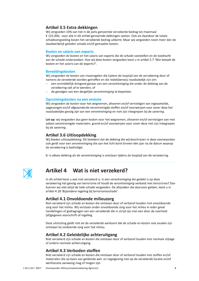## Artikel 3.5 Extra dekkingen

Wij vergoeden 10% van het in de polis genoemde verzekerde bedrag tot maximaal € 125.000,- voor alle in dit artikel genoemde dekkingen samen. Ook als daardoor de totale schadevergoeding boven het verzekerde bedrag uitkomt. Maar wij vergoeden nooit meer dan de daadwerkelijk geleden schade en/of gemaakte kosten.

#### Kosten en salaris van experts

Wij vergoeden de kosten en het salaris van experts die de schade vaststellen en de toedracht van de schade onderzoeken. Hoe wij deze kosten vergoeden leest u in artikel 5.7 'Wie betaalt de kosten en het salaris van de experts?'.

### **Bereddingskosten**

Wij vergoeden de kosten van maatregelen die tijdens de looptijd van de verzekering door of namens de verzekerde worden getroffen en die redelijkerwijs noodzakelijk zijn om:

- een onmiddellijk dreigend gevaar van een verontreiniging die onder de dekking van de verzekering valt af te wenden, of
- de gevolgen van een dergelijke verontreiniging te beperken.

### Opruimingskosten na een emissie

Wij vergoeden de kosten voor het wegnemen, afvoeren en/of vernietigen van ingezamelde, opgevangen en/of afgezonderde verontreinigde stoffen en/of voorwerpen voor zover deze het noodzakelijke gevolg zijn van een verontreiniging en niet zijn inbegrepen bij de sanering.

Let op: wij vergoeden dus geen kosten voor het wegnemen, afvoeren en/of vernietigen van met asbest verontreinigde materialen, grond en/of voorwerpen voor zover deze niet zijn inbegrepen bij de sanering.

## **Artikel 3.6 Uitloopdekking**

Wij bieden uitloopdekking. Dit betekent dat de dekking die wij beschrijven in deze voorwaarden ook geldt voor een verontreiniging die aan het licht komt binnen één jaar na de datum waarop de verzekering is beëindigd.

Er is alleen dekking als de verontreiniging is ontstaan tijdens de looptijd van de verzekering.



## Artikel 4 Wat is niet verzekerd?

In dit artikel leest u wat niet verzekerd is. Is een verontreiniging die gedekt is op deze verzekering het gevolg van terrorisme of houdt de verontreiniging verband met terrorisme? Dan kunnen wij niet altijd de hele schade vergoeden. De afspraken die daarvoor gelden, leest u in artikel 4.18 'Bijzondere regeling bij terrorismeschade'.

## Artikel 4.1 Onvoldoende milieuzorg

Niet verzekerd zijn schade en kosten die ontstaan door of verband houden met onvoldoende zorg voor het milieu. Wij verstaan onder onvoldoende zorg voor het milieu in ieder geval handelingen of gedragingen van een verzekerde die in strijd zijn met een door de overheid (af)gegeven voorschrift of regeling.

Deze uitsluiting geldt niet als de verzekerde aantoont dat de schade en kosten ook zouden zijn ontstaan bij voldoende zorg voor het milieu.

## Artikel 4.2 Geleidelijke achteruitgang

Niet verzekerd zijn schade en kosten die ontstaan door of verband houden met normale slijtage of andere normale achteruitgang.

## Artikel 4.3 Verboden stoffen

Niet verzekerd zijn schade en kosten die ontstaan door of verband houden met stoffen en/of materialen die op basis van geldende wet- en regelgeving niet op de verzekerde locatie en/of werklocatie aanwezig mag of mogen zijn.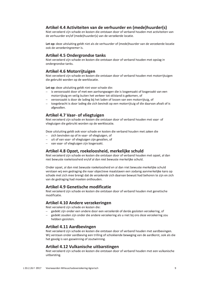## Artikel 4.4 Activiteiten van de verhuurder en (mede)huurder(s)

Niet verzekerd zijn schade en kosten die ontstaan door of verband houden met activiteiten van de verhuurder en/of (mede)huurder(s) van de verzekerde locatie.

Let op: deze uitsluiting geldt niet als de verhuurder of (mede)huurder van de verzekerde locatie ook de verzekeringnemer is.

## **Artikel 4.5 Ondergrondse tanks**

Niet verzekerd zijn schade en kosten die ontstaan door of verband houden met opslag in ondergrondse tanks.

## Artikel 4.6 Motorrijtuigen

Niet verzekerd zijn schade en kosten die ontstaan door of verband houden met motorrijtuigen die gebruikt worden op de werklocatie.

Let op: deze uitsluiting geldt niet voor schade die:

- is veroorzaakt door of met een aanhangwagen die is losgemaakt of losgeraakt van een motorrijtuig en veilig buiten het verkeer tot stilstand is gekomen, of
- veroorzaakt is door de lading bij het laden of lossen van een motorrijtuig, of
- toegebracht is door lading die zich bevindt op een motorrijtuig of die daarvan afvalt of is afgevallen.

## **Artikel 4.7 Vaar- of vliegtuigen**

Niet verzekerd zijn schade en kosten die ontstaan door of verband houden met vaar- of vliegtuigen die gebruikt worden op de werklocatie.

Deze uitsluiting geldt ook voor schade en kosten die verband houden met zaken die

- zich bevinden op of in vaar- of vliegtuigen, of
- uit of van vaar- of vliegtuigen zijn gevallen, of  $\equiv$
- van vaar- of vliegtuigen zijn losgeraakt.  $\equiv$

## Artikel 4.8 Opzet, roekeloosheid, merkelijke schuld

Niet verzekerd zijn schade en kosten die ontstaan door of verband houden met opzet, al dan niet bewuste roekeloosheid en/of al dan niet bewuste merkelijke schuld.

Onder opzet, al dan niet bewuste roekeloosheid en al dan niet bewuste merkelijke schuld verstaan wij een gedraging die naar objectieve maatstaven een zodanig aanmerkelijke kans op schade met zich mee brengt dat de verzekerde zich daarvan bewust had behoren te zijn en zich van de gedraging had moeten onthouden.

### **Artikel 4.9 Genetische modificatie**

Niet verzekerd zijn schade en kosten die ontstaan door of verband houden met genetische modificatie.

## Artikel 4.10 Andere verzekeringen

Niet verzekerd zijn schade en kosten die:

- gedekt zijn onder een andere door een verzekerde of derde gesloten verzekering, of
- gedekt zouden zijn onder die andere verzekering als u niet bij ons deze verzekering zou hebben gesloten.

## **Artikel 4.11 Aardbevingen**

Niet verzekerd zijn schade en kosten die ontstaan door of verband houden met aardbevingen. Wij verstaan onder aardbeving een trilling of schokkende beweging van de aardkorst, ook als die het gevolg is van gaswinning of zoutwinning.

## Artikel 4.12 Vulkanische uitbarstingen

Niet verzekerd zijn schade en kosten die ontstaan door of verband houden met een vulkanische uitbarsting.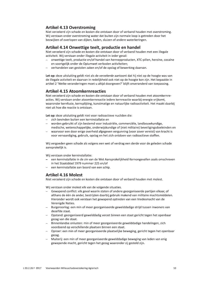## **Artikel 4.13 Overstroming**

Niet verzekerd zijn schade en kosten die ontstaan door of verband houden met overstroming. Wij verstaan onder overstroming water dat buiten zijn normale loop is getreden door het bezwijken of overlopen van dijken, kaden, sluizen of andere waterkeringen.

## Artikel 4.14 Onwettige teelt, productie en handel

Niet verzekerd zijn schade en kosten die ontstaan door of verband houden met een illegale activiteit. Wij verstaan onder illegale activiteit in ieder geval:

- onwettige teelt, productie en/of handel van hennepproducten, XTC-pillen, heroïne, cocaïne en soortgelijk onder de Opiumwet verboden activiteiten;
- verhandelen van gestolen zaken en/of de opslag of bewerking daarvan.

Let op: deze uitsluiting geldt niet als de verzekerde aantoont dat hij niet op de hoogte was van de illegale activiteit en daarvan in redeliikheid ook niet op de hoogte kon zijn. Het bepaalde in artikel 2 'Welke veranderingen moet u altijd doorgeven?' blijft onveranderd van toepassing.

## **Artikel 4.15 Atoomkernreacties**

Niet verzekerd zijn schade en kosten die ontstaan door of verband houden met atoomkernreacties. Wij verstaan onder atoomkernreactie iedere kernreactie waarbij energie vrijkomt, waaronder kernfusie, kernsplijting, kunstmatige en natuurlijke radioactiviteit. Het maakt daarbij niet uit hoe die reactie is ontstaan.

Let op: deze uitsluiting geldt niet voor radioactieve nucliden die:

- zich bevinden buiten een kerninstallatie en
- worden gebruikt of zijn bestemd voor industriële, commerciële, landbouwkundige, medische, wetenschappelijke, onderwijskundige of (niet militaire) beveiligingsdoeleinden en
- waarvoor een door enige overheid afgegeven vergunning (voor zover vereist) van kracht is voor vervaardiging, gebruik, opslag en het zich ontdoen van radioactieve stoffen.

Wij vergoeden geen schade als volgens een wet of verdrag een derde voor de geleden schade aansprakelijk is.

Wij verstaan onder kerninstallatie:

- een kerninstallatie in de zin van de Wet Aansprakelijkheid Kernongevallen zoals omschreven in het Staatsblad 1979 nummer 225 en/of
- een kerninstallatie aan boord van een schip.

## **Artikel 4.16 Molest**

Niet verzekerd zijn schade en kosten die ontstaan door of verband houden met molest.

Wij verstaan onder molest elk van de volgende situaties.

- Gewapend conflict: elk geval waarin staten of andere georganiseerde partijen elkaar, of althans de één de ander, bestrijden daarbij gebruik makend van militaire machtsmiddelen. Hieronder wordt ook verstaan het gewapend optreden van een Vredesmacht van de Verenigde Naties.
- Burgeroorlog: een min of meer georganiseerde gewelddadige strijd tussen inwoners van dezelfde staat.
- Opstand: georganiseerd gewelddadig verzet binnen een staat gericht tegen het openbaar gezag van die staat.
- Binnenlandse onlusten: min of meer georganiseerde gewelddadige handelingen, zich voordoend op verschillende plaatsen binnen een staat.
- Oproer: een min of meer georganiseerde plaatselijke beweging, gericht tegen het openbaar gezag.
- Muiterij: een min of meer georganiseerde gewelddadige beweging van leden van enig gewapende macht, gericht tegen het gezag waaronder zij gesteld zijn.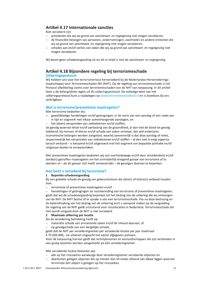## **Artikel 4.17 Internationale sancties**

Niet verzekerd zijn:

- activiteiten die wij op grond van sanctiewet- en regelgeving niet mogen verzekeren,
- de financiële belangen van personen, ondernemingen, overheden en andere entiteiten die wij op grond van sanctiewet- en regelgeving niet mogen verzekeren,
- schades aan en/of verlies van zaken die wij op grond van sanctiewet- en regelgeving niet mogen verzekeren.

Wij keren geen schadevergoeding uit als dit in strijd is met de sanctiewet- en regelgeving.

## Artikel 4.18 Bijzondere regeling bij terrorismeschade **Uitkeringsprotocol**

Wij hebben ons voor het terrorismerisico herverzekerd bij de Nederlandse Herverzekeringsmaatschappij voor Terrorismeschaden NV (NHT). Op de regeling van terrorismeschade is het Protocol afwikkeling claims voor terrorismeschaden van de NHT van toepassing. In dit artikel leest u de belangrijkste regels uit dit uitkeringsprotocol. De volledige tekst van het uitkeringsprotocol kunt u raadplegen op www.terrorismeverzekerd.nl en is kosteloos bij ons verkrijgbaar.

### Wat is terrorisme/preventieve maatregelen?

Met terrorisme bedoelen wij:

- gewelddadige handelingen en/of gedragingen, in de vorm van een aanslag of een reeks van in tijd en oogmerk met elkaar samenhangende aanslagen, en
- het (doen) verspreiden van ziektekiemen en/of stoffen,

als gevolg waarvan letsel en/of aantasting van de gezondheid, al dan niet de dood tot gevolg hebbend, bij mensen of dieren en/of schade aan zaken ontstaat, dan wel anderszins economische belangen worden aangetast, waarbij aannemelijk is dat deze aanslag of reeks, respectievelijk het verspreiden van ziektekiemen en/of stoffen - al dan niet in enig organisatorisch verband - is beraamd en/of uitgevoerd met het oogmerk om bepaalde politieke en/of religieuze doelen te verwezenlijken.

Met preventieve maatregelen bedoelen wij van overheidswege en/of door verzekerde(n) en/of derde(n) getroffen maatregelen om het onmiddellijk dreigend gevaar van terrorisme af te wenden of - als dit gevaar zich heeft verwezenlijkt - de gevolgen daarvan te beperken.

## Hoe bent u verzekerd bij terrorisme?

#### 1 Beperkte schadevergoeding

Bij een gedekte schade als gevolg van gebeurtenissen die (direct of indirect) verband houden met:

terrorisme of preventieve maatregelen en/of

handelingen of gedragingen ter voorbereiding van terrorisme of preventieve maatregelen, geldt dat wij de schadevergoeding beperken tot het bedrag van de uitkering die wij ontvangen van de NHT. De NHT beslist of er sprake is van een terrorismeschade. Pas na deze beslissing en de bekendmaking van het bedrag van de uitkering kunt u aansprak maken op de vergoeding. De regeling van de NHT geldt uitsluitend voor risicolocaties in Nederland. Terrorismeschade die niet wordt vergoed door de NHT is niet verzekerd.

#### 2 Maximale uitkering per locatie

Als de verzekering betrekking heeft op:

- materiële schade aan onroerende zaken en/of de inhoud daarvan, of
- op gevolgschade van een dergelijke schade,

geldt dat de NHT per verzekeringnemer per verzekerde locatie per jaar maximaal € 75.000.000,- zal uitkeren ongeacht het aantal afgegeven polissen.

Voor de toepassing hiervan geldt dat rechtspersonen en vennootschappen die zijn verbonden in een groep tezamen worden aangemerkt als één verzekeringnemer.

Met verzekerde locatie bedoelen wij:

- alle op het risicoadres aanwezige door verzekeringnemer verzekerde objecten en
- daarbuiten gelegen objecten die op minder dan 50 meter afstand van elkaar liggen waarvan tenminste één object is gelegen op het risicoadres.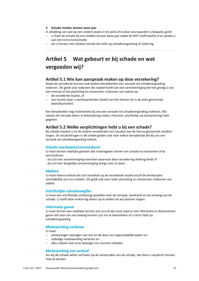#### 3 Schade melden binnen twee jaar

In afwijking van wat op een andere plaats in de polis of in deze voorwaarden is bepaald, geldt:

- u moet de schade bij ons melden binnen twee jaar nadat de NHT heeft beslist of er sprake is van een terrorismeschade:
- als u hieraan niet voldoet vervalt elk recht op schadevergoeding of uitkering.

## Artikel 5 Wat gebeurt er bij schade en wat vergoeden wij?

### Artikel 5.1 Wie kan aanspraak maken op deze verzekering?

Naast de verzekerde kunnen ook andere benadeelden een verzoek tot schadevergoeding indienen. Dit geldt voor iedereen die nadeel heeft van een verontreiniging die het gevolg is van een emissie of het plotseling en onvoorzien vrijkomen van asbest op:

- de verzekerde locatie, of
- een locatie waar u werkzaamheden (hebt) verricht binnen de in de polis genoemde bedrijfsactiviteit.

Een benadeelde mag rechtstreeks bij ons een verzoek tot schadevergoeding indienen. Wij nemen dit verzoek alleen in behandeling nadat u hiervoor schriftelijk uw toestemming hebt gegeven.

### Artikel 5.2 Welke verplichtingen hebt u bij een schade?

Bij schade moeten u en de andere verzekerden zich houden aan de hierna genoemde verplichtingen. De verplichtingen in dit artikel gelden ook voor iedere benadeelde die bij ons een verzoek tot schadevergoeding indient.

#### Schade voorkomen/verminderen

U moet binnen redelijke grenzen alle maatregelen nemen om schade te voorkomen of te verminderen:

- als zich een verontreiniging voordoet waarvoor deze verzekering dekking biedt of
- als zich een dergelijke verontreiniging dreigt voor te doen.

#### **Melden**

U moet iedere emissie die zich voordoet op de verzekerde locatie en/of de werklocatie onmiddellijk aan ons melden. Dit geldt ook voor ieder plotseling en onvoorzien vrijkomen van ashest.

#### Schriftelijke schadeaangifte

U moet een schriftelijke verklaring opstellen over de oorzaak, toedracht en de omvang van de schade. U hoeft deze verklaring alleen op te stellen als wij daarom vragen.

#### **Informatie geven**

U moet binnen een redelijke termijn aan ons of aan onze experts alle informatie en documenten geven die voor ons van belang kunnen zijn om te beoordelen of u recht hebt op schadevergoeding.

#### **Medewerking verlenen**

U moet:

- aanwijzingen opvolgen van ons en de door ons ingeschakelde expert en
- volledige medewerking verlenen en
- alles nalaten wat onze belangen zou kunnen schaden.  $\frac{1}{2}$

#### **Medewerking aan verhaal**

Als wij de schade willen verhalen op de veroorzaker van de schade, dan bent u verplicht hieraan mee te werken.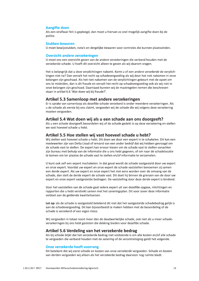#### **Aangifte doen**

Als een strafbaar feit is gepleegd, dan moet u hiervan zo snel mogelijk aangifte doen bij de politie.

#### **Stukken bewaren**

U moet bewijsstukken, nota's en dergelijke bewaren voor controles die kunnen plaatsvinden.

#### **Overzicht andere verzekeringen**

U moet ons een overzicht geven van de andere verzekeringen die verband houden met de verzekerde schade. U hoeft dit overzicht alleen te geven als wij daarom vragen.

Het is belangrijk dat u deze verplichtingen nakomt. Komt u of een andere verzekerde de verplichtingen niet na? Dan vervalt het recht op schadevergoeding als wij door het niet nakomen in onze belangen zijn geschaad. Als het niet nakomen van de verplichtingen gebeurt met de opzet om ons te misleiden, dan is dit fraude en vervalt het recht op schadevergoeding ook als wij niet in onze belangen zijn geschaad. Daarnaast kunnen wij de maatregelen nemen die beschreven staan in artikel 6.6 'Wat doen wij bij fraude?'.

## Artikel 5.3 Samenloop met andere verzekeringen

Er is sprake van samenloop als dezelfde schade verzekerd is onder meerdere verzekeringen. Als u de schade als eerste bij ons claimt, vergoeden wij de schade die wij volgens deze verzekering moeten vergoeden.

## Artikel 5.4 Wat doen wij als u een schade aan ons doorgeeft?

Als u een schade doorgeeft beoordelen wij of de schade gedekt is op deze verzekering en stellen we vast hoeveel schade u hebt.

#### Artikel 5.5 Hoe stellen wij vast hoeveel schade u hebt?

Wij stellen vast hoeveel schade u hebt. Dit doen we door een expert in te schakelen. Dit kan een medewerker zijn van Delta Lloyd of iemand van een ander bedrijf dat wij hebben gevraagd om de schade vast te stellen. De expert kan ervoor kiezen om de schade vast te stellen vanachter zijn bureau met behulp van de informatie die u ons hebt gegeven, of om naar de schadelocatie te komen om ter plaatse de schade vast te stellen en/of informatie te verzamelen.

U kunt ook zelf een expert inschakelen. In dat geval wordt de schade vastgesteld door uw expert en onze expert. Voordat uw expert en onze expert de schade vaststellen benoemen zij samen een derde expert. Als uw expert en onze expert het niet eens worden over de omvang van de schade, dan stelt de derde expert de schade vast. Dit doet hij binnen de grenzen van de door uw expert en onze expert vastgestelde bedragen. De vaststelling door deze derde expert is bindend.

Voor het vaststellen van de schade gaat iedere expert uit van dezelfde opgave, inlichtingen en rapporten die u hebt verstrekt samen met het saneringsplan. Dit voor zover deze informatie voldoet aan de geldende kwaliteitseisen.

Let op: als de schade is vastgesteld betekend dit niet dat het vastgestelde schadebedrag gelijk is aan de schadevergoeding. Dit kan bijvoorbeeld te maken hebben met de beoordeling of de schade is verzekerd of een eigen risico.

Wij vergoeden in totaal nooit meer dan de daadwerkelijke schade, ook niet als u meer schadeverzekeringen bij ons hebt gesloten die dekking bieden voor dezelfde schade.

### Artikel 5.6 Verdeling van het verzekerde bedrag

Als bij schade blijkt dat het verzekerde bedrag niet voldoende is om alle kosten en/of alle schade te vergoeden die verband houden met de sanering of de verontreiniging geldt het volgende.

#### **Onze verzekerde heeft voorrang**

Dit betekent dat wij eerst schade en kosten van onze verzekerde vergoeden. Schade en kosten van derden vergoeden wij alleen als het verzekerde bedrag daarvoor nog ruimte biedt.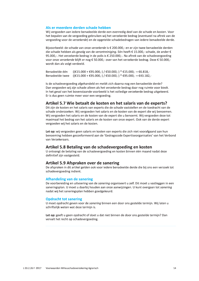### Als er meerdere derden schade hebben

Wij vergoeden aan iedere benadeelde derde een evenredig deel van de schade en kosten. Voor het bepalen van de vergoeding gebruiken wij het verzekerde bedrag (eventueel na aftrek van de vergoeding voor de verzekerde) en de opgetelde schadebedragen van iedere benadeelde derde.

Bijvoorbeeld: de schade van onze verzekerde is € 200.000,- en er zijn twee benadeelde derden die schade hebben als gevolg van de verontreiniging. Eén heeft € 15.000,- schade, de ander € 95.000,-. Het verzekerde bedrag in de polis is € 250.000,-. Na aftrek van de schadevergoeding voor onze verzekerde blijft er nog € 50.000,- over van het verzekerde bedrag. Deze € 50.000,wordt dan als volgt verdeeld.

 $((€15.000 + €95.000,-) / €50.000,-) * €15.000,- = €6.818,-$ Benadeelde één Benadeelde twee ((€15.000 + €95.000,-) / €50.000,-) \* €95.000,- = €43.182,-

Is de schadevergoeding afgehandeld en meldt zich daarna nog een benadeelde derde? Dan vergoeden wij zijn schade alleen als het verzekerde bedrag daar nog ruimte voor biedt. In het geval van het bovenstaande voorbeeld is het volledige verzekerde bedrag uitgekeerd. Er is dus geen ruimte meer voor een vergoeding.

## Artikel 5.7 Wie betaalt de kosten en het salaris van de experts?

Dit zijn de kosten en het salaris van experts die de schade vaststellen en de toedracht van de schade onderzoeken. Wij vergoeden het salaris en de kosten van de expert die wij benoemen. Wij vergoeden het salaris en de kosten van de expert die u benoemt. Wij vergoeden deze tot maximaal het bedrag van het salaris en de kosten van onze expert. Ook van de derde expert vergoeden wij het salaris en de kosten.

Let op: wij vergoeden geen salaris en kosten van experts die zich niet voorafgaand aan hun benoeming hebben geconformeerd aan de 'Gedragscode Expertiseorganisaties' van het Verbond van Verzekeraars.

#### Artikel 5.8 Betaling van de schadevergoeding en kosten

U ontvangt de betaling van de schadevergoeding en kosten binnen één maand nadat deze definitief zijn vastgesteld.

#### Artikel 5.9 Afspraken over de sanering

De afspraken in dit artikel gelden ook voor iedere benadeelde derde die bij ons een verzoek tot schadevergoeding indient.

#### **Afhandeling van de sanering**

De voorbereiding en uitvoering van de sanering organiseert u zelf. Dit moet u vastleggen in een saneringsplan. U moet u daarbij houden aan onze aanwijzingen. U kunt overgaan tot sanering nadat wij het saneringsplan hebben goedgekeurd.

#### **Opdracht tot sanering**

U moet opdracht geven voor de *sanering* binnen een door ons gestelde termijn. Wij laten u schriftelijk weten wat deze termijn is.

Let op: geeft u geen opdracht of doet u dat niet binnen de door ons gestelde termijn? Dan vervalt het recht op schadevergoeding.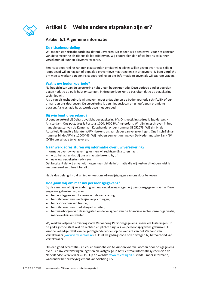

## Artikel 6 Welke andere afspraken zijn er?

## **Artikel 6.1 Algemene informatie**

### De risicobeoordeling

Wij mogen een risicobeoordeling (laten) uitvoeren. Dit mogen wij doen zowel voor het aangaan van de verzekering als tijdens de looptijd ervan. Wij beoordelen dan of wij het risico kunnen verzekeren of kunnen blijven verzekeren.

Een risicobeoordeling kan ook plaatsvinden omdat wij u advies willen geven over risico's die u loopt en/of willen nagaan of bepaalde preventieve maatregelen zijn uitgevoerd. U bent verplicht om mee te werken aan een risicobeoordeling en ons informatie te geven als wij daarom vragen.

#### Wat is uw bedenkperiode?

Na het afsluiten van de verzekering hebt u een bedenkperiode. Deze periode eindigt veertien dagen nadat u de polis hebt ontvangen. In deze periode kunt u besluiten dat u de verzekering toch niet wilt.

Als u van dit recht gebruik wilt maken, moet u dat binnen de bedenkperiode schriftelijk of per e-mail aan ons doorgeven. De verzekering is dan niet gesloten en u hoeft geen premie te betalen. Als u schade hebt, wordt deze niet vergoed.

#### Bij wie bent u verzekerd?

U bent verzekerd bij Delta Lloyd Schadeverzekering NV. Ons vestigingsadres is Spaklerweg 4, Amsterdam. Ons postadres is Postbus 1000, 1000 BA Amsterdam. Wij zijn ingeschreven in het handelsregister van de Kamer van Koophandel onder nummer 33052073. Wij zijn bij de Autoriteit Financiële Markten (AFM) bekend als aanbieder van verzekeringen. Ons inschrijvingsnummer bij de AFM is 12000463. Wij hebben een vergunning van De Nederlandsche Bank NV (DNB) om schade te verzekeren.

#### Naar welk adres sturen wij informatie over uw verzekering?

Informatie over uw verzekering kunnen wij rechtsgeldig sturen naar:

- u op het adres dat bij ons als laatste bekend is, of
- naar uw verzekeringsadviseur.

Dat betekent dat wij er vanuit mogen gaan dat de informatie die wij gestuurd hebben juist is geadresseerd en u heeft bereikt.

Het is dus belangrijk dat u niet vergeet om adreswijzigingen aan ons door te geven.

#### Hoe gaan wij om met uw persoonsgegevens?

Bij de aanvraag of bij verandering van uw verzekering vragen wij persoonsgegevens van u. Deze gegevens gebruiken wij voor:

- het vastleggen en uitvoeren van de verzekering;
- het uitvoeren van wettelijke verplichtingen;
- het voorkomen van fraude:
- het uitvoeren van marketingactiviteiten;
- het waarborgen van de integriteit en de veiligheid van de financiële sector, onze organisatie, medewerkers en klanten.

Wij werken volgens de 'Gedragscode Verwerking Persoonsgegevens Financiële Instellingen'. In de gedragscode staat wat de rechten en plichten zijn als we persoonsgegevens gebruiken. U kunt de volledige tekst van de gedragscode vinden op de website van het Verbond van Verzekeraars (www.verzekeraars.nl). U kunt de gedragscode ook opvragen bij het Verbond van Verzekeraars.

Om een goed acceptatie-, risico- en fraudebeleid te kunnen voeren, worden door ons gegevens over u en uw verzekeringen ingezien en vastgelegd in het Centraal Informatiesysteem van de Nederlandse verzekeraars (CIS). Op de website www.stichtingcis.nl vindt u meer informatie, waaronder het privacyreglement van Stichting CIS.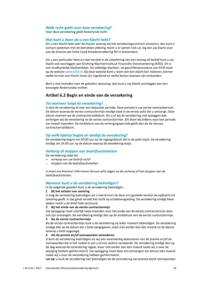#### Welk recht geldt voor deze verzekering?

Voor deze verzekering geldt Nederlands recht.

#### Wat kunt u doen als u een klacht hebt?

Als u een klacht hebt over de manier waarop wij het verzekeringscontract uitvoeren, dan kunt u contact opnemen met de betrokken afdeling. Komt u er samen niet uit, leg dan uw klacht voor aan de directie van Delta Lloyd Schadeverzekering NV in Amsterdam.

Als u een particulier bent en niet handelt in de uitoefening van een beroep of bedrijf kunt u uw klacht ook voorleggen aan Stichting Klachteninstituut Financiële Dienstverlening (KifiD). Dit is een onafhankelijk klachtenloket. De volledige klachten- en geschillenprocedure van KiFiD staat op de website www.kifid.nl. Op deze website kunt u lezen wie een klacht kan indienen, binnen welke termijn een klacht moet zijn ingediend en welke kosten daaraan zijn verbonden.

Bent u niet tevreden over de geboden oplossing, dan kunt u uw klacht voorleggen aan een bevoegde Nederlandse rechter.

## Artikel 6.2 Begin en einde van de verzekering

#### Tot wanneer loopt de verzekering?

U sluit de verzekering af voor een bepaalde periode. Deze periode is uw eerste contracttermijn. De datum waarop de eerste contracttermijn eindigt staat in de eerste polis die u ontvangt. Deze datum noemen we de contractvervaldatum. Als u of wij de verzekering niet opzeggen dan verlengen wij de verzekering na de eerste contracttermijn. Dit doen wij telkens voor een periode van twaalf maanden. De einddatum van de verlengingsperiode geldt dan als de nieuwe contractvervaldatum.

#### Op welk tijdstip begint en eindigt de verzekering?

De verzekering begint om 00:00 uur op de ingangsdatum die in de polis staat. De verzekering eindigt om 24:00 uur op de datum waarop de verzekering stopt.

### Verkoop of stoppen van bedrijfsactiviteiten

De verzekering stopt bij:

- verkoop van uw bedrijf en/of
- stoppen van de bedrijfsactiviteiten.

U moet ons hierover informeren binnen acht dagen na de verkoop of het stoppen van de bedrijfsactiviteiten.

#### Wanneer kunt u de verzekering beëindigen?

In de volgende gevallen kunt u de verzekering beëindigen.

#### 1 Bij het nalaten van sanering

U mag de verzekering beëindigen als u niet binnen de door ons gestelde termijn de opdracht tot sanering geeft. In dat geval vervalt het recht op schadevergoeding. De verzekering eindigt twee weken nadat u de brief hebt verstuurd.

#### 2 Bij het einde van de eerste contracttermijn

Uw opzegging moet uiterlijk twee maanden voor het einde van de eerste contracttermijn door ons zijn ontvangen. De verzekering eindigt dan op de einddatum van de eerste contracttermijn.

#### Na de eerste contracttermijn  $\overline{3}$

Na de eerste contracttermijn kunt u de verzekering op ieder moment beëindigen. De verzekering eindigt dan op de datum die u hebt aangegeven, maar niet eerder dan één maand na de datum waarop u hebt opgezegd.

#### 4 Als de premie en/of voorwaarden veranderen

U kunt de verzekering beëindigen als wij een verandering doorvoeren van de premie en/of de voorwaarden die in het nadeel is van u of een andere verzekerde. De verzekering eindigt dan op de dag waarop de verandering ingaat, maar niet eerder dan één maand nadat wij u over de wijziging hebben geïnformeerd. Uw opzegging moet door ons ontvangen zijn binnen één maand nadat wij u over de verandering hebben geïnformeerd.

Let op: u kunt de verzekering niet beëindigen als de verandering van premie en/of voorwaarden: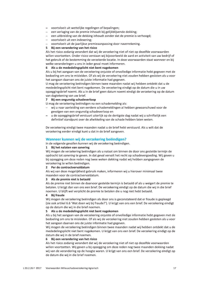- voortvloeit uit wettelijke regelingen of bepalingen;
- een verlaging van de premie inhoudt bij gelijkblijvende dekking;
- een uitbreiding van de dekking inhoudt zonder dat de premie is verhoogd;
- voortvloeit uit een indexering;
- voortvloeit uit de jaarlijkse premieaanpassing door naverrekening.

#### 5 Bij een verandering van het risico

Als het risico zodanig verandert dat wij de verzekering niet of niet op dezelfde voorwaarden willen voortzetten. Onder risico verstaan wij bijvoorbeeld de aard en activiteit van uw bedrijf of het gebruik of de bestemming de verzekerde locatie. In deze voorwaarden staat wanneer en bij welke veranderingen u ons in ieder geval moet informeren.

#### 6 Als u de mededelingsplicht niet bent nagekomen

Als u bij het aangaan van de verzekering onjuiste of onvolledige informatie hebt gegeven met de bedoeling om ons te misleiden. Of als wij de verzekering niet zouden hebben gesloten als u voor het aangaan daarvan ons de juiste informatie had gegeven.

U mag de verzekering beëindigen binnen twee maanden nadat wij hebben ontdekt dat u de mededelingsplicht niet bent nagekomen. De verzekering eindigt op de datum die u in uw opzeggingsbrief noemt. Als u in de brief geen datum noemt eindigt de verzekering op de datum van dagtekening van uw brief.

#### 7 Bij een ongunstig schadeverloop

- U mag de verzekering beëindigen na een schademelding als:
- wij u naar aanleiding van eerdere schademeldingen al hebben gewaarschuwd voor de gevolgen van een ongunstig schadeverloop en
- u de opzeggingsbrief verstuurt uiterlijk op de dertigste dag nadat wij u schriftelijk een definitief standpunt over de afwikkeling van de schade hebben laten weten.

De verzekering eindigt twee maanden nadat u de brief hebt verstuurd. Als u wilt dat de verzekering eerder eindigt kunt u dat in de brief aangeven.

### Wanneer kunnen wij de verzekering beëindigen?

In de volgende gevallen kunnen wij de verzekering beëindigen.

#### 1 Bij het nalaten van sanering

Wij mogen de verzekering beëindigen als u nalaat om binnen de door ons gestelde termijn de opdracht tot sanering te geven. In dat geval vervalt het recht op schadevergoeding. Wij geven u bij opzegging om deze reden nog twee weken dekking nadat wij hebben aangegeven de verzekering te willen beëindigen.

#### 2 Per de contractvervaldatum

Als wij van deze mogelijkheid gebruik maken, informeren wij u hierover minimaal twee maanden voor de contractvervaldatum.

#### 3 Als de premie niet is betaald

Als de premie niet binnen de daarvoor gestelde termijn is betaald of als u weigert de premie te betalen. U krijgt dan van ons een brief. De verzekering eindigt op de datum die wij in die brief noemen. U blijft wel verplicht de premie te betalen die u nog niet hebt betaald.

#### 4 Bij fraude

Wij mogen de verzekering beëindigen als door ons is geconstateerd dat er fraude is gepleegd (zie ook artikel 6.6 'Wat doen wij bij fraude?'). U krijgt van ons een brief. De verzekering eindigt op de datum die wij in die brief noemen.

#### 5 Als u de mededelingsplicht niet bent nagekomen

Als u bij het aangaan van de verzekering onjuiste of onvolledige informatie hebt gegeven met de bedoeling om ons te misleiden. Of als wij de verzekering niet zouden hebben gesloten als u voor het aangaan daarvan ons de juiste informatie had gegeven.

Wij mogen de verzekering beëindigen binnen twee maanden nadat wij hebben ontdekt dat u de mededelingsplicht niet bent nagekomen. U krijgt van ons een brief. De verzekering eindigt op de datum die wij in de brief noemen.

#### Bij een verandering van het risico 6

Als het risico zodanig verandert dat wij de verzekering niet of niet op dezelfde voorwaarden willen voortzetten. Wij geven u bij opzegging om deze reden nog twee maanden dekking nadat wij van de verandering op de hoogte waren. U krijgt van ons een brief. De verzekering eindigt op de datum die wij in die brief noemen.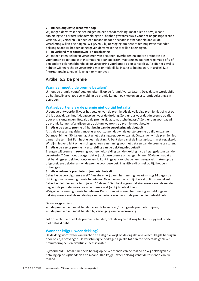#### 7 Bij een ongunstig schadeverloop

Wij mogen de verzekering beëindigen na een schademelding, maar alleen als wij u naar aanleiding van eerdere schademeldingen al hebben gewaarschuwd voor het ongunstige schadeverloop. Wij vertellen u binnen een maand nadat de schade is afgehandeld dat wij de verzekering willen beëindigen. Wij geven u bij opzegging om deze reden nog twee maanden dekking nadat wij hebben aangegeven de verzekering te willen beëindigen.

#### 8 In verband met sanctiewet- en regelgeving

Wij mogen geen belangen verzekeren van personen, overheden en andere entiteiten die voorkomen op nationale of internationale sanctielijsten. Wij toetsen daarom regelmatig of u of een andere belanghebbende bij de verzekering voorkomt op een sanctielijst. Als dit het geval is, hebben wij het recht de verzekering met onmiddellijke ingang te beëindigen. In artikel 4.17 'Internationale sancties' leest u hier meer over.

## Artikel 6.3 De premie

#### Wanneer moet u de premie betalen?

U moet de premie vooraf betalen, uiterlijk op de (premie)vervaldatum. Deze datum wordt altijd op het betalingsverzoek vermeld. In de premie kunnen ook kosten en assurantiebelasting zijn begrepen.

#### Wat gebeurt er als u de premie niet op tijd betaalt?

U bent verantwoordelijk voor het betalen van de premie. Als de volledige premie niet of niet op tijd is betaald, dan heeft dat gevolgen voor de dekking. Zorg er dus voor dat de premie op tijd door ons is ontvangen. Betaalt u de premie via automatische incasso? Zorg er dan voor dat wij de premie kunnen afschrijven op de datum waarop u de premie moet betalen.

#### 1 Als u de eerste premie bij het begin van de verzekering niet betaalt

Als u de verzekering afsluit, moet u ervoor zorgen dat wij de eerste premie op tijd ontvangen. Dat moet binnen 30 dagen nadat u het betalingsverzoek ontvangt. Ontvangen wij de premie niet binnen die termijn? Dan hebt u geen dekking. U bent dan vanaf de ingangsdatum niet verzekerd. Wij zijn niet verplicht om u in dit geval een aanmaning voor het betalen van de premie te sturen.

### 2 Als u de eerste premie na uitbreiding van de dekking niet betaalt

Brengen wij premie in rekening voor een uitbreiding van de dekking na de ingangsdatum van de verzekering? Dan moet u zorgen dat wij ook deze premie ontvangen binnen 30 dagen nadat u het betalingsverzoek hebt ontvangen. U kunt in geval van schade geen aanspraak maken op de uitgebreidere dekking als wij de premie voor deze dekkingsuitbreiding niet op tijd hebben ontvangen.

#### 3 Als u volgende premietermijnen niet betaalt

Betaalt u de vervolgpremie niet? Dan sturen wij u een herinnering, waarin u nog 14 dagen de tijd krijgt om de vervolgpremie te betalen. Als u binnen die termijn betaalt, blijft u verzekerd. Betaalt u niet binnen de termijn van 14 dagen? Dan hebt u geen dekking meer vanaf de eerste dag van de periode waarvoor u de premie niet (op tijd) betaald hebt.

Weigert u de vervolgpremie te betalen? Dan sturen wij u geen herinnering en hebt u geen dekking meer vanaf de eerste dag van de periode waarvoor u de premie niet betaald hebt.

De vervolgpremie is:

- de premie die u moet betalen voor de tweede en/of volgende premietermijnen;
- $\equiv$ de premie die u moet betalen bij verlenging van de verzekering.

Let op: u blijft verplicht de premie te betalen, ook als wij de dekking hebben stopgezet omdat u niet betaald hebt.

#### Wanneer krijgt u weer dekking?

De dekking wordt weer van kracht op de dag die volgt op de dag dat alle verschuldigde bedragen door ons zijn ontvangen. De verschuldigde bedragen zijn alle tot dan toe onbetaald gebleven premietermijnen en eventuele incassokosten.

Bijvoorbeeld: u betaalt het hele bedrag op de veertiende van de maand en wij ontvangen die betaling op de vijftiende van de maand. Dan krijgt u weer dekking vanaf de zestiende van die maand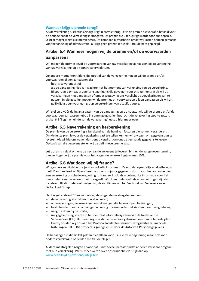#### Wanneer krijgt u premie terug?

Als de verzekering tussentijds eindigt krijgt u premie terug. Dit is de premie die vooraf is betaald voor de periode nadat de verzekering is stopgezet. De premie die u terugkrijgt wordt door ons bepaald. U krijgt mogelijk niet alle premie terug. Dit komt dan bijvoorbeeld omdat wij kosten hebben gemaakt voor behandeling of administratie. U krijgt geen premie terug als u fraude hebt gepleegd.

## Artikel 6.4 Wanneer mogen wij de premie en/of de voorwaarden aanpassen?

Wij mogen de premie en/of de voorwaarden van uw verzekering aanpassen bij de verlenging van uw verzekering op de contractvervaldatum.

Op andere momenten tijdens de looptijd van de verzekering mogen wij de premie en/of voorwaarden alleen aanpassen als:

- $-$  het risico verandert of
- als de aanpassing niet kan wachten tot het moment van verlenging van de verzekering. Bijvoorbeeld omdat er zeer ernstige financiële gevolgen voor ons kunnen zijn als wij de verzekeringen niet aanpassen of omdat wetgeving ons verplicht de verzekeringen aan te passen. In die gevallen mogen wij de premies en voorwaarden alleen aanpassen als wij dit gelijktijdig doen voor een groep verzekeringen van dezelfde soort.

Wij stellen u vóór de ingangsdatum van de aanpassing op de hoogte. Als wij de premie en/of de voorwaarden aanpassen hebt u in sommige gevallen het recht de verzekering stop te zetten. In artikel 6.2 'Begin en einde van de verzekering' leest u hier meer over.

## Artikel 6.5 Naverrekening en herberekening

De premie van de verzekering is berekend aan de hand van factoren die kunnen veranderen. Om de juiste premie voor de verzekering vast te stellen kunnen wij u vragen om gegevens aan te leveren. Als wij hierom vragen dan bent u verplicht om ons de gevraagde gegevens te leveren. Op basis van die gegevens stellen wij de definitieve premie vast.

Let op: als u nalaat om ons de gevraagde gegevens te leveren binnen de aangegeven termijn, dan verhogen wij de premie voor het volgende verzekeringsjaar met 15%.

## Artikel 6.6 Wat doen wij bij fraude?

Wij gaan ervan uit dat u ons juist en volledig informeert. Doet u dat opzettelijk en doelbewust niet? Dan fraudeert u. Bijvoorbeeld als u ons onjuiste gegevens stuurt voor het aanvragen van een verzekering of schadevergoeding. U fraudeert ook als u belangrijke informatie voor het beoordelen van uw verzoek niet doorgeeft. Wij doen onderzoek als er aanwijzingen zijn dat u fraudeert. Bij dit onderzoek volgen wij de richtlijnen van het Verbond van Verzekeraars en Delta Lloyd Groep.

Hebt u gefraudeerd? Dan kunnen wij de volgende maatregelen nemen:

- de verzekering stopzetten of niet uitkeren;
- andere leningen, verzekeringen en rekeningen die bij ons lopen beëindigen;
- besluiten dat u een al ontvangen uitkering of onze onderzoekskosten moet terugbetalen;
- aangifte doen bij de politie;
- uw gegevens registreren in het Centraal Informatiesysteem van de Nederlandse Verzekeraars (CIS). Dit is een register dat verzekeraars gebruiken om fraude te bestrijden. Hierbij houden wij ons aan het Protocol Incidenten waarschuwingssysteem Financiële Instellingen (PIFI). Dit protocol is goedgekeurd door de Autoriteit Persoonsgegevens.

De bepalingen in dit artikel gelden niet alleen voor u als verzekeringnemer, maar ook voor andere verzekerden of derden die fraude plegen.

Al deze maatregelen zorgen ervoor dat u niet teveel betaalt omdat anderen verkeerd omgaan met hun verzekering. Wilt u meer weten over ons fraudebeleid? Kijk dan op www.deltalloyd.nl/over-ons/integriteit.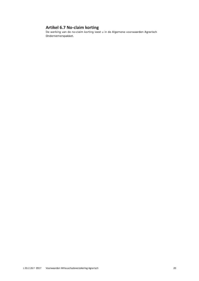## **Artikel 6.7 No-claim korting**

De werking van de no-claim korting leest u in de Algemene voorwaarden Agrarisch Ondernemerspakket.